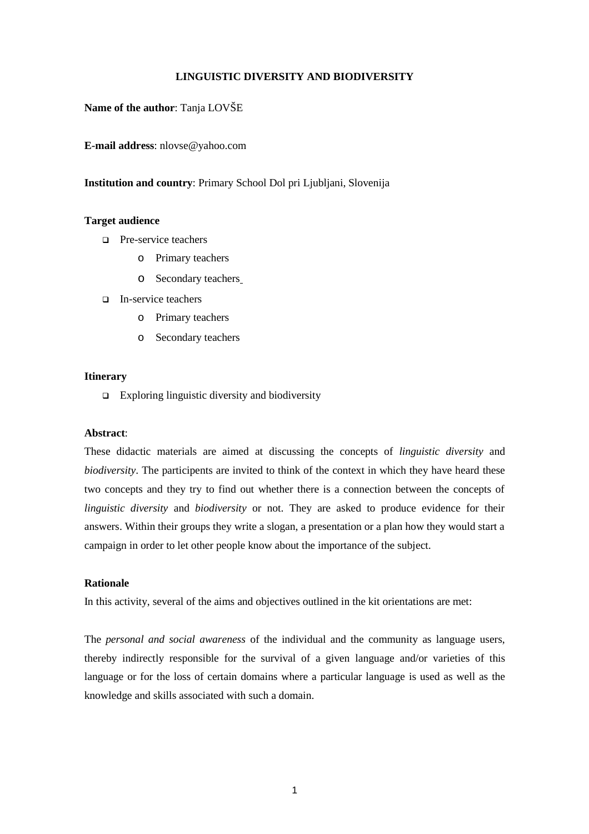## **LINGUISTIC DIVERSITY AND BIODIVERSITY**

# **Name of the author**: Tanja LOVŠE

**E-mail address**: nlovse@yahoo.com

## **Institution and country**: Primary School Dol pri Ljubljani, Slovenija

#### **Target audience**

- □ Pre-service teachers
	- o Primary teachers
	- o Secondary teachers
- □ In-service teachers
	- o Primary teachers
	- o Secondary teachers

#### **Itinerary**

 $\Box$  Exploring linguistic diversity and biodiversity

#### **Abstract**:

These didactic materials are aimed at discussing the concepts of *linguistic diversity* and *biodiversity*. The participents are invited to think of the context in which they have heard these two concepts and they try to find out whether there is a connection between the concepts of *linguistic diversity* and *biodiversity* or not. They are asked to produce evidence for their answers. Within their groups they write a slogan, a presentation or a plan how they would start a campaign in order to let other people know about the importance of the subject.

## **Rationale**

In this activity, several of the aims and objectives outlined in the kit orientations are met:

The *personal and social awareness* of the individual and the community as language users, thereby indirectly responsible for the survival of a given language and/or varieties of this language or for the loss of certain domains where a particular language is used as well as the knowledge and skills associated with such a domain.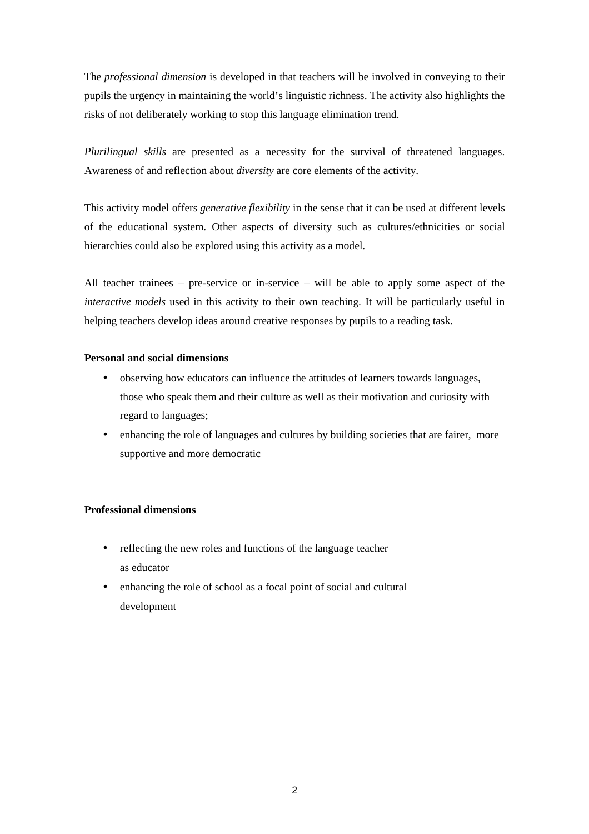The *professional dimension* is developed in that teachers will be involved in conveying to their pupils the urgency in maintaining the world's linguistic richness. The activity also highlights the risks of not deliberately working to stop this language elimination trend.

*Plurilingual skills* are presented as a necessity for the survival of threatened languages. Awareness of and reflection about *diversity* are core elements of the activity.

This activity model offers *generative flexibility* in the sense that it can be used at different levels of the educational system. Other aspects of diversity such as cultures/ethnicities or social hierarchies could also be explored using this activity as a model.

All teacher trainees – pre-service or in-service – will be able to apply some aspect of the *interactive models* used in this activity to their own teaching. It will be particularly useful in helping teachers develop ideas around creative responses by pupils to a reading task.

# **Personal and social dimensions**

- observing how educators can influence the attitudes of learners towards languages, those who speak them and their culture as well as their motivation and curiosity with regard to languages;
- enhancing the role of languages and cultures by building societies that are fairer, more supportive and more democratic

# **Professional dimensions**

- reflecting the new roles and functions of the language teacher as educator
- enhancing the role of school as a focal point of social and cultural development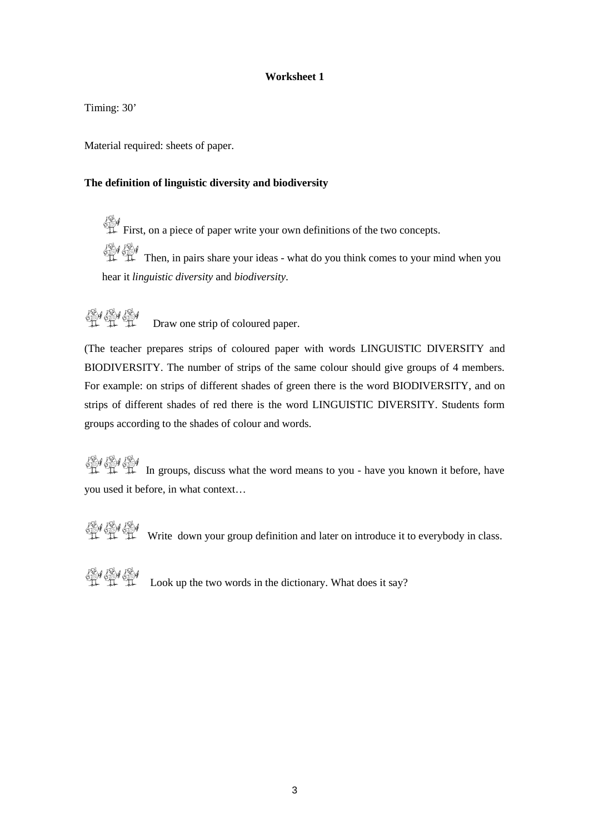Timing: 30'

Material required: sheets of paper.

# **The definition of linguistic diversity and biodiversity**

First, on a piece of paper write your own definitions of the two concepts.

 $\mathbb{Z}$   $\mathbb{Z}$  Then, in pairs share your ideas - what do you think comes to your mind when you hear it *linguistic diversity* and *biodiversity*.

 $\mathbb{R}$   $\mathbb{R}$   $\mathbb{R}$  Draw one strip of coloured paper.

(The teacher prepares strips of coloured paper with words LINGUISTIC DIVERSITY and BIODIVERSITY. The number of strips of the same colour should give groups of 4 members. For example: on strips of different shades of green there is the word BIODIVERSITY, and on strips of different shades of red there is the word LINGUISTIC DIVERSITY. Students form groups according to the shades of colour and words.

 $\mathbb{Z}$   $\mathbb{Z}$   $\mathbb{Z}$  is  $\mathbb{Z}$  iscuss what the word means to you - have you known it before, have you used it before, in what context…

We write down your group definition and later on introduce it to everybody in class.



 $\mathbb{Z}$   $\mathbb{Z}$   $\mathbb{Z}$  Look up the two words in the dictionary. What does it say?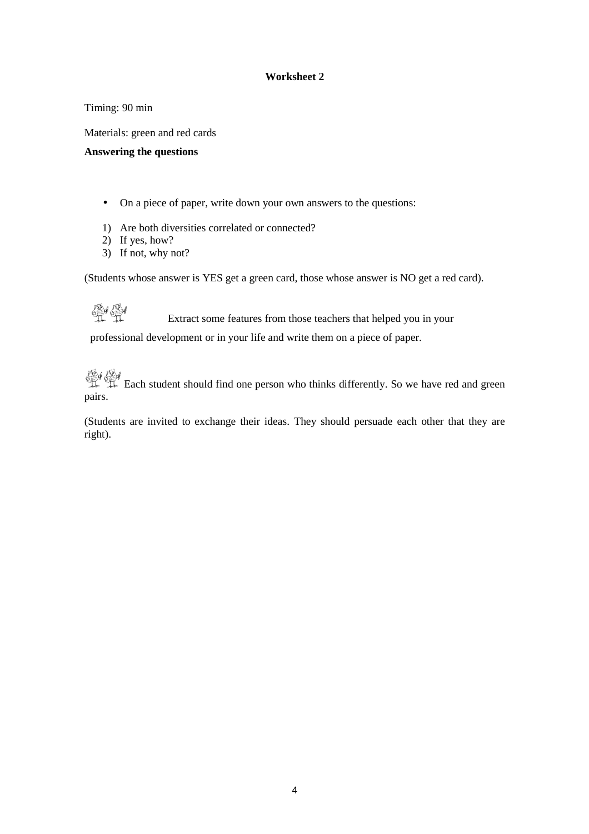Timing: 90 min

Materials: green and red cards

**Answering the questions**

- On a piece of paper, write down your own answers to the questions:
- 1) Are both diversities correlated or connected?
- 2) If yes, how?
- 3) If not, why not?

(Students whose answer is YES get a green card, those whose answer is NO get a red card).

 $A + B$ 

Extract some features from those teachers that helped you in your

professional development or in your life and write them on a piece of paper.

Each student should find one person who thinks differently. So we have red and green  $\mathbb{H}$  Each student should find one person who thinks differently. So we have red and green pairs.

(Students are invited to exchange their ideas. They should persuade each other that they are right).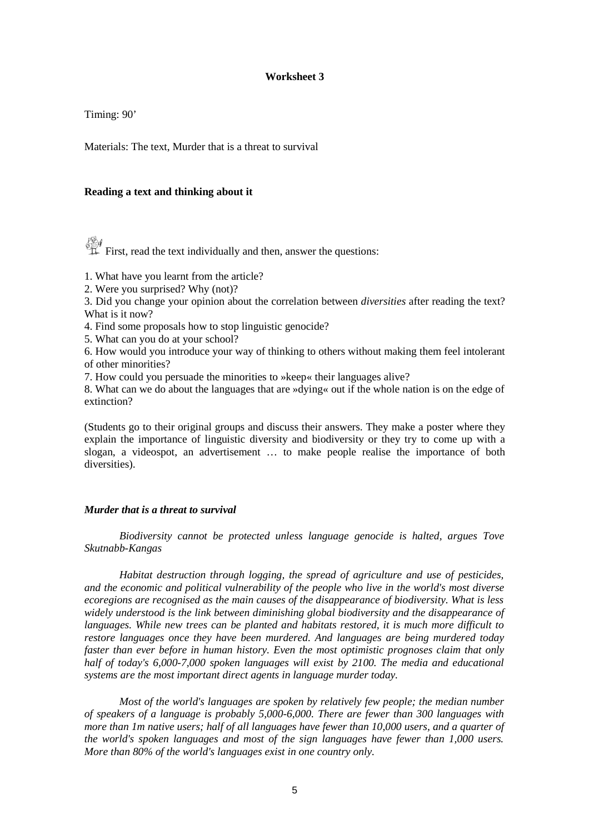Timing: 90'

Materials: The text, Murder that is a threat to survival

## **Reading a text and thinking about it**

First, read the text individually and then, answer the questions:

1. What have you learnt from the article?

2. Were you surprised? Why (not)?

3. Did you change your opinion about the correlation between *diversities* after reading the text? What is it now?

4. Find some proposals how to stop linguistic genocide?

5. What can you do at your school?

6. How would you introduce your way of thinking to others without making them feel intolerant of other minorities?

7. How could you persuade the minorities to »keep« their languages alive?

8. What can we do about the languages that are »dying« out if the whole nation is on the edge of extinction?

(Students go to their original groups and discuss their answers. They make a poster where they explain the importance of linguistic diversity and biodiversity or they try to come up with a slogan, a videospot, an advertisement … to make people realise the importance of both diversities).

## *Murder that is a threat to survival*

*Biodiversity cannot be protected unless language genocide is halted, argues Tove Skutnabb-Kangas*

*Habitat destruction through logging, the spread of agriculture and use of pesticides, and the economic and political vulnerability of the people who live in the world's most diverse ecoregions are recognised as the main causes of the disappearance of biodiversity. What is less widely understood is the link between diminishing global biodiversity and the disappearance of languages. While new trees can be planted and habitats restored, it is much more difficult to restore languages once they have been murdered. And languages are being murdered today faster than ever before in human history. Even the most optimistic prognoses claim that only half of today's 6,000-7,000 spoken languages will exist by 2100. The media and educational systems are the most important direct agents in language murder today.*

*Most of the world's languages are spoken by relatively few people; the median number of speakers of a language is probably 5,000-6,000. There are fewer than 300 languages with more than 1m native users; half of all languages have fewer than 10,000 users, and a quarter of the world's spoken languages and most of the sign languages have fewer than 1,000 users. More than 80% of the world's languages exist in one country only.*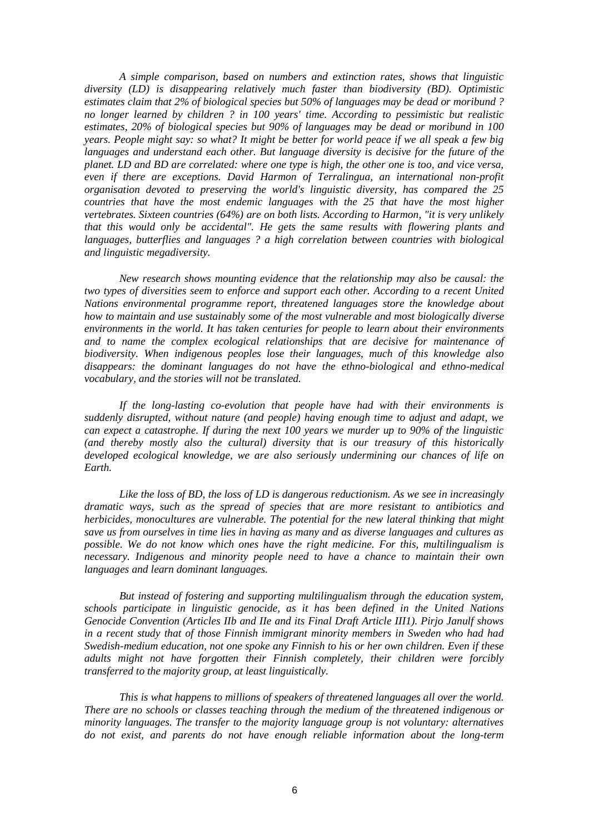*A simple comparison, based on numbers and extinction rates, shows that linguistic diversity (LD) is disappearing relatively much faster than biodiversity (BD). Optimistic estimates claim that 2% of biological species but 50% of languages may be dead or moribund ? no longer learned by children ? in 100 years' time. According to pessimistic but realistic estimates, 20% of biological species but 90% of languages may be dead or moribund in 100 years. People might say: so what? It might be better for world peace if we all speak a few big languages and understand each other. But language diversity is decisive for the future of the planet. LD and BD are correlated: where one type is high, the other one is too, and vice versa, even if there are exceptions. David Harmon of Terralingua, an international non-profit organisation devoted to preserving the world's linguistic diversity, has compared the 25 countries that have the most endemic languages with the 25 that have the most higher vertebrates. Sixteen countries (64%) are on both lists. According to Harmon, "it is very unlikely that this would only be accidental". He gets the same results with flowering plants and languages, butterflies and languages ? a high correlation between countries with biological and linguistic megadiversity.*

*New research shows mounting evidence that the relationship may also be causal: the two types of diversities seem to enforce and support each other. According to a recent United Nations environmental programme report, threatened languages store the knowledge about how to maintain and use sustainably some of the most vulnerable and most biologically diverse environments in the world. It has taken centuries for people to learn about their environments and to name the complex ecological relationships that are decisive for maintenance of biodiversity. When indigenous peoples lose their languages, much of this knowledge also disappears: the dominant languages do not have the ethno-biological and ethno-medical vocabulary, and the stories will not be translated.*

*If the long-lasting co-evolution that people have had with their environments is suddenly disrupted, without nature (and people) having enough time to adjust and adapt, we can expect a catastrophe. If during the next 100 years we murder up to 90% of the linguistic (and thereby mostly also the cultural) diversity that is our treasury of this historically developed ecological knowledge, we are also seriously undermining our chances of life on Earth.*

*Like the loss of BD, the loss of LD is dangerous reductionism. As we see in increasingly dramatic ways, such as the spread of species that are more resistant to antibiotics and herbicides, monocultures are vulnerable. The potential for the new lateral thinking that might save us from ourselves in time lies in having as many and as diverse languages and cultures as possible. We do not know which ones have the right medicine. For this, multilingualism is necessary. Indigenous and minority people need to have a chance to maintain their own languages and learn dominant languages.*

*But instead of fostering and supporting multilingualism through the education system, schools participate in linguistic genocide, as it has been defined in the United Nations Genocide Convention (Articles IIb and IIe and its Final Draft Article III1). Pirjo Janulf shows in a recent study that of those Finnish immigrant minority members in Sweden who had had Swedish-medium education, not one spoke any Finnish to his or her own children. Even if these adults might not have forgotten their Finnish completely, their children were forcibly transferred to the majority group, at least linguistically.*

*This is what happens to millions of speakers of threatened languages all over the world. There are no schools or classes teaching through the medium of the threatened indigenous or minority languages. The transfer to the majority language group is not voluntary: alternatives do not exist, and parents do not have enough reliable information about the long-term*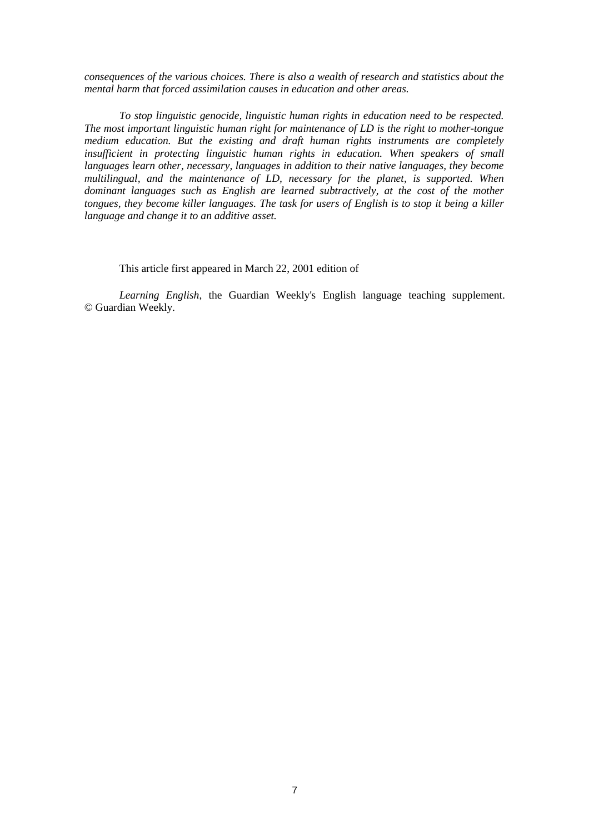*consequences of the various choices. There is also a wealth of research and statistics about the mental harm that forced assimilation causes in education and other areas.*

*To stop linguistic genocide, linguistic human rights in education need to be respected. The most important linguistic human right for maintenance of LD is the right to mother-tongue medium education. But the existing and draft human rights instruments are completely insufficient in protecting linguistic human rights in education. When speakers of small languages learn other, necessary, languages in addition to their native languages, they become multilingual, and the maintenance of LD, necessary for the planet, is supported. When dominant languages such as English are learned subtractively, at the cost of the mother tongues, they become killer languages. The task for users of English is to stop it being a killer language and change it to an additive asset.*

## This article first appeared in March 22, 2001 edition of

*Learning English*, the Guardian Weekly's English language teaching supplement. © Guardian Weekly.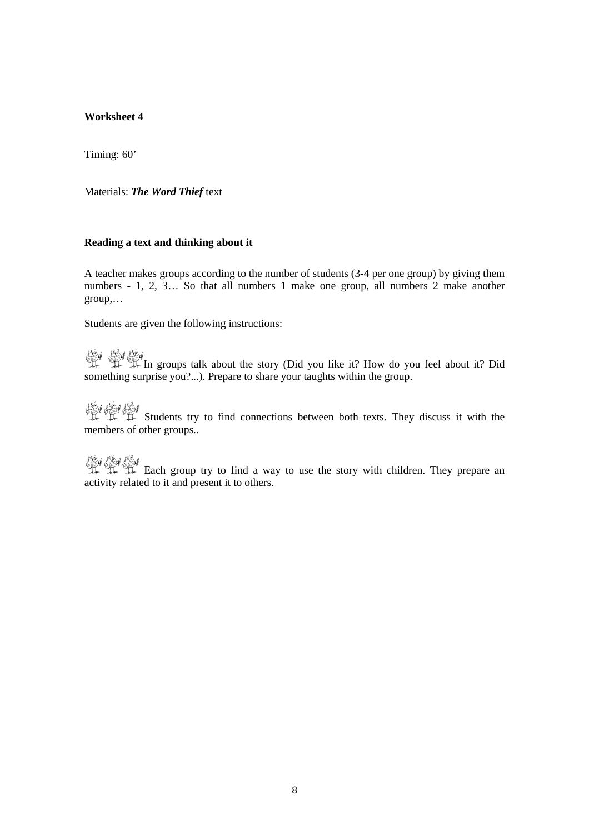Timing: 60'

Materials: *The Word Thief* text

## **Reading a text and thinking about it**

A teacher makes groups according to the number of students (3-4 per one group) by giving them numbers - 1, 2, 3… So that all numbers 1 make one group, all numbers 2 make another group,…

Students are given the following instructions:

If  $\mathbb{Z}$  In groups talk about the story (Did you like it? How do you feel about it? Did something surprise you?...). Prepare to share your taughts within the group.

 $\mathbb{S}$   $\mathbb{S}$   $\mathbb{S}$  Students try to find connections between both texts. They discuss it with the members of other groups..

 Each group try to find a way to use the story with children. They prepare an activity related to it and present it to others.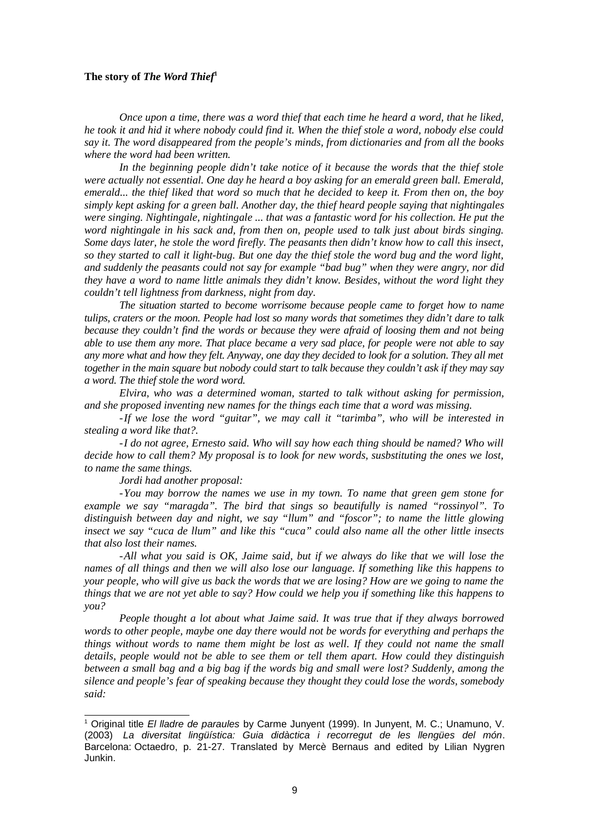## **The story of** *The Word Thief***<sup>1</sup>**

*Once upon a time, there was a word thief that each time he heard a word, that he liked, he took it and hid it where nobody could find it. When the thief stole a word, nobody else could say it. The word disappeared from the people's minds, from dictionaries and from all the books where the word had been written.*

*In the beginning people didn't take notice of it because the words that the thief stole were actually not essential. One day he heard a boy asking for an emerald green ball. Emerald, emerald... the thief liked that word so much that he decided to keep it. From then on, the boy simply kept asking for a green ball. Another day, the thief heard people saying that nightingales were singing. Nightingale, nightingale ... that was a fantastic word for his collection. He put the word nightingale in his sack and, from then on, people used to talk just about birds singing. Some days later, he stole the word firefly. The peasants then didn't know how to call this insect, so they started to call it light-bug. But one day the thief stole the word bug and the word light, and suddenly the peasants could not say for example "bad bug" when they were angry, nor did they have a word to name little animals they didn't know. Besides, without the word light they couldn't tell lightness from darkness, night from day.*

*The situation started to become worrisome because people came to forget how to name tulips, craters or the moon. People had lost so many words that sometimes they didn't dare to talk because they couldn't find the words or because they were afraid of loosing them and not being able to use them any more. That place became a very sad place, for people were not able to say any more what and how they felt. Anyway, one day they decided to look for a solution. They all met together in the main square but nobody could start to talk because they couldn't ask if they may say a word. The thief stole the word word.*

*Elvira, who was a determined woman, started to talk without asking for permission, and she proposed inventing new names for the things each time that a word was missing.* 

*-If we lose the word "guitar", we may call it "tarimba", who will be interested in stealing a word like that?.*

*-I do not agree, Ernesto said. Who will say how each thing should be named? Who will decide how to call them? My proposal is to look for new words, susbstituting the ones we lost, to name the same things.*

*Jordi had another proposal:* 

*-You may borrow the names we use in my town. To name that green gem stone for example we say "maragda". The bird that sings so beautifully is named "rossinyol". To distinguish between day and night, we say "llum" and "foscor"; to name the little glowing insect we say "cuca de llum" and like this "cuca" could also name all the other little insects that also lost their names.* 

*-All what you said is OK, Jaime said, but if we always do like that we will lose the names of all things and then we will also lose our language. If something like this happens to your people, who will give us back the words that we are losing? How are we going to name the things that we are not yet able to say? How could we help you if something like this happens to you?*

*People thought a lot about what Jaime said. It was true that if they always borrowed words to other people, maybe one day there would not be words for everything and perhaps the things without words to name them might be lost as well. If they could not name the small details, people would not be able to see them or tell them apart. How could they distinguish between a small bag and a big bag if the words big and small were lost? Suddenly, among the silence and people's fear of speaking because they thought they could lose the words, somebody said:*

<sup>&</sup>lt;sup>1</sup> Original title El lladre de paraules by Carme Junyent (1999). In Junyent, M. C.; Unamuno, V. (2003) La diversitat lingüística: Guia didàctica i recorregut de les llengües del món. Barcelona: Octaedro, p. 21-27. Translated by Mercè Bernaus and edited by Lilian Nygren Junkin.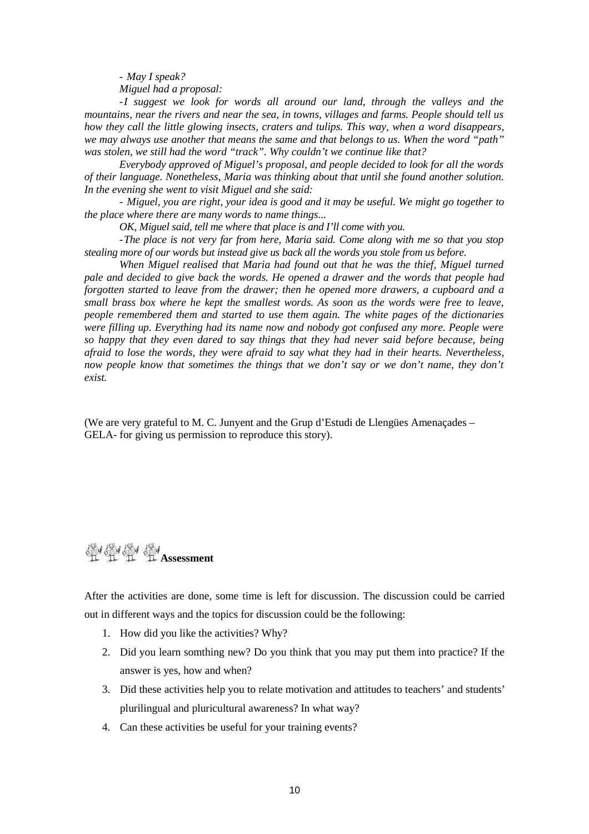*- May I speak?*

*Miguel had a proposal:*

*-I suggest we look for words all around our land, through the valleys and the mountains, near the rivers and near the sea, in towns, villages and farms. People should tell us how they call the little glowing insects, craters and tulips. This way, when a word disappears, we may always use another that means the same and that belongs to us. When the word "path" was stolen, we still had the word "track". Why couldn't we continue like that?*

*Everybody approved of Miguel's proposal, and people decided to look for all the words of their language. Nonetheless, Maria was thinking about that until she found another solution. In the evening she went to visit Miguel and she said:*

*- Miguel, you are right, your idea is good and it may be useful. We might go together to the place where there are many words to name things...*

*OK, Miguel said, tell me where that place is and I'll come with you.*

*-The place is not very far from here, Maria said. Come along with me so that you stop stealing more of our words but instead give us back all the words you stole from us before.*

*When Miguel realised that Maria had found out that he was the thief, Miguel turned pale and decided to give back the words. He opened a drawer and the words that people had forgotten started to leave from the drawer; then he opened more drawers, a cupboard and a small brass box where he kept the smallest words. As soon as the words were free to leave, people remembered them and started to use them again. The white pages of the dictionaries were filling up. Everything had its name now and nobody got confused any more. People were so happy that they even dared to say things that they had never said before because, being afraid to lose the words, they were afraid to say what they had in their hearts. Nevertheless, now people know that sometimes the things that we don't say or we don't name, they don't exist.*

(We are very grateful to M. C. Junyent and the Grup d'Estudi de Llengües Amenaçades – GELA- for giving us permission to reproduce this story).

**AAA** A ssessment

After the activities are done, some time is left for discussion. The discussion could be carried out in different ways and the topics for discussion could be the following:

- 1. How did you like the activities? Why?
- 2. Did you learn somthing new? Do you think that you may put them into practice? If the answer is yes, how and when?
- 3. Did these activities help you to relate motivation and attitudes to teachers' and students' plurilingual and pluricultural awareness? In what way?
- 4. Can these activities be useful for your training events?